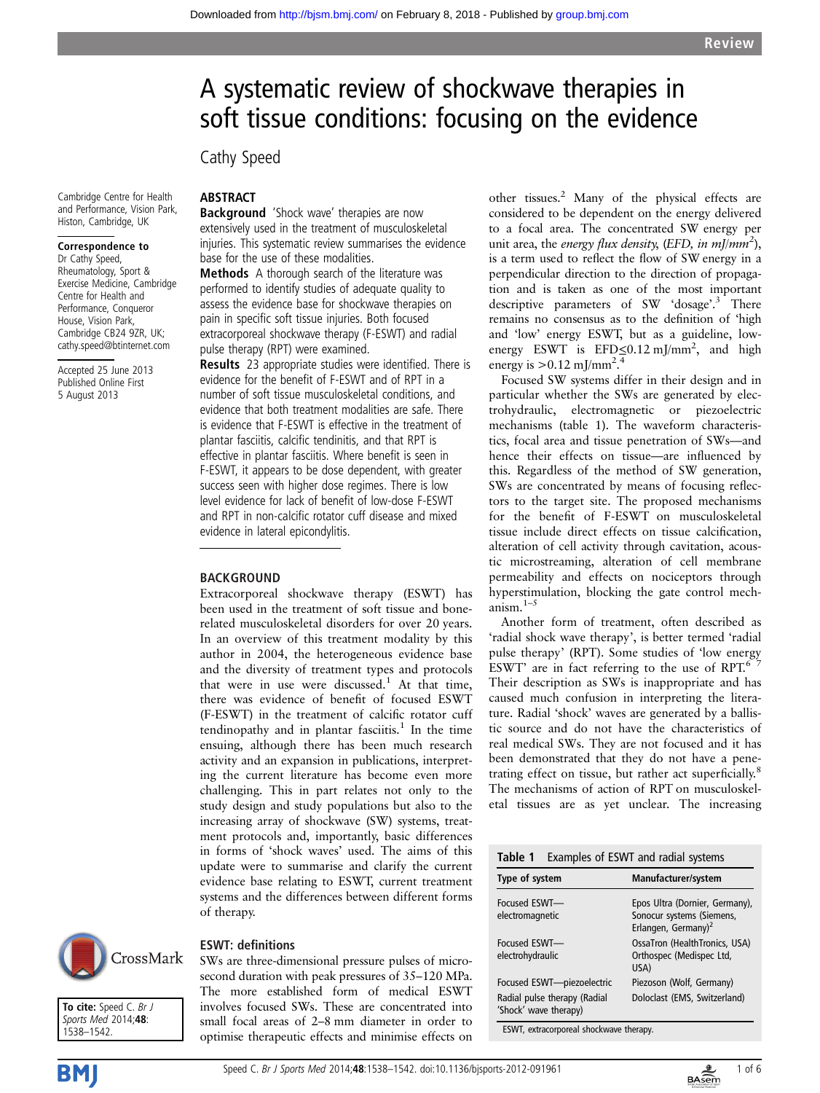# A systematic review of shockwave therapies in soft tissue conditions: focusing on the evidence

Cathy Speed

Cambridge Centre for Health and Performance, Vision Park, Histon, Cambridge, UK

#### Correspondence to

Dr Cathy Speed, Rheumatology, Sport & Exercise Medicine, Cambridge Centre for Health and Performance, Conqueror House, Vision Park, Cambridge CB24 9ZR, UK; cathy.speed@btinternet.com

Accepted 25 June 2013 Published Online First 5 August 2013

### ABSTRACT

Background 'Shock wave' therapies are now extensively used in the treatment of musculoskeletal injuries. This systematic review summarises the evidence base for the use of these modalities.

Methods A thorough search of the literature was performed to identify studies of adequate quality to assess the evidence base for shockwave therapies on pain in specific soft tissue injuries. Both focused extracorporeal shockwave therapy (F-ESWT) and radial pulse therapy (RPT) were examined.

Results 23 appropriate studies were identified. There is evidence for the benefit of F-ESWT and of RPT in a number of soft tissue musculoskeletal conditions, and evidence that both treatment modalities are safe. There is evidence that F-ESWT is effective in the treatment of plantar fasciitis, calcific tendinitis, and that RPT is effective in plantar fasciitis. Where benefit is seen in F-ESWT, it appears to be dose dependent, with greater success seen with higher dose regimes. There is low level evidence for lack of benefit of low-dose F-ESWT and RPT in non-calcific rotator cuff disease and mixed evidence in lateral epicondylitis.

#### BACKGROUND

Extracorporeal shockwave therapy (ESWT) has been used in the treatment of soft tissue and bonerelated musculoskeletal disorders for over 20 years. In an overview of this treatment modality by this author in 2004, the heterogeneous evidence base and the diversity of treatment types and protocols that were in use were discussed.<sup>1</sup> At that time, there was evidence of benefit of focused ESWT (F-ESWT) in the treatment of calcific rotator cuff tendinopathy and in plantar fasciitis.<sup>1</sup> In the time ensuing, although there has been much research activity and an expansion in publications, interpreting the current literature has become even more challenging. This in part relates not only to the study design and study populations but also to the increasing array of shockwave (SW) systems, treatment protocols and, importantly, basic differences in forms of 'shock waves' used. The aims of this update were to summarise and clarify the current evidence base relating to ESWT, current treatment systems and the differences between different forms of therapy.



To cite: Speed C. Br J Sports Med 2014;48: 1538–1542.

#### ESWT: definitions

SWs are three-dimensional pressure pulses of microsecond duration with peak pressures of 35–120 MPa. The more established form of medical ESWT involves focused SWs. These are concentrated into small focal areas of 2–8 mm diameter in order to optimise therapeutic effects and minimise effects on other tissues.<sup>2</sup> Many of the physical effects are considered to be dependent on the energy delivered to a focal area. The concentrated SW energy per unit area, the energy flux density, (EFD, in mJ/mm<sup>2</sup>), is a term used to reflect the flow of SW energy in a perpendicular direction to the direction of propagation and is taken as one of the most important descriptive parameters of SW 'dosage'. <sup>3</sup> There remains no consensus as to the definition of 'high and 'low' energy ESWT, but as a guideline, lowenergy ESWT is EFD≤0.12 mJ/mm<sup>2</sup>, and high energy is  $> 0.12$  mJ/mm<sup>2.4</sup>

Focused SW systems differ in their design and in particular whether the SWs are generated by electrohydraulic, electromagnetic or piezoelectric mechanisms (table 1). The waveform characteristics, focal area and tissue penetration of SWs—and hence their effects on tissue—are influenced by this. Regardless of the method of SW generation, SWs are concentrated by means of focusing reflectors to the target site. The proposed mechanisms for the benefit of F-ESWT on musculoskeletal tissue include direct effects on tissue calcification, alteration of cell activity through cavitation, acoustic microstreaming, alteration of cell membrane permeability and effects on nociceptors through hyperstimulation, blocking the gate control mechanism.1–<sup>5</sup>

Another form of treatment, often described as 'radial shock wave therapy', is better termed 'radial pulse therapy' (RPT). Some studies of 'low energy ESWT' are in fact referring to the use of RPT. $67$ Their description as SWs is inappropriate and has caused much confusion in interpreting the literature. Radial 'shock' waves are generated by a ballistic source and do not have the characteristics of real medical SWs. They are not focused and it has been demonstrated that they do not have a penetrating effect on tissue, but rather act superficially.<sup>8</sup> The mechanisms of action of RPT on musculoskeletal tissues are as yet unclear. The increasing

| Table 1 | Examples of ESWT and radial systems |  |  |  |
|---------|-------------------------------------|--|--|--|
|---------|-------------------------------------|--|--|--|

| Type of system                                        | Manufacturer/system                                                                            |
|-------------------------------------------------------|------------------------------------------------------------------------------------------------|
| Focused FSWT-<br>electromagnetic                      | Epos Ultra (Dornier, Germany),<br>Sonocur systems (Siemens,<br>Erlangen, Germany) <sup>2</sup> |
| Focused FSWT-<br>electrohydraulic                     | OssaTron (HealthTronics, USA)<br>Orthospec (Medispec Ltd,<br>USA)                              |
| Focused ESWT-piezoelectric                            | Piezoson (Wolf, Germany)                                                                       |
| Radial pulse therapy (Radial<br>'Shock' wave therapy) | Doloclast (EMS, Switzerland)                                                                   |

ESWT, extracorporeal shockwave therapy.



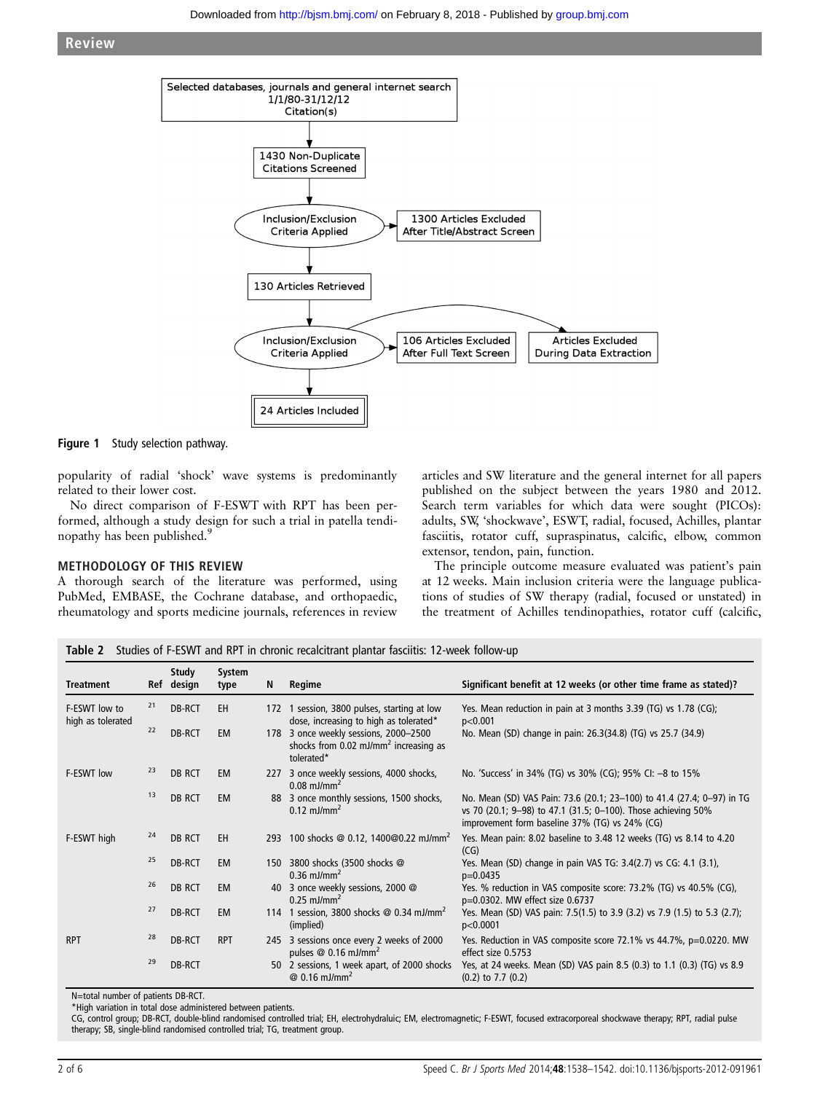

Figure 1 Study selection pathway.

popularity of radial 'shock' wave systems is predominantly related to their lower cost.

No direct comparison of F-ESWT with RPT has been performed, although a study design for such a trial in patella tendinopathy has been published.<sup>9</sup>

#### METHODOLOGY OF THIS REVIEW

A thorough search of the literature was performed, using PubMed, EMBASE, the Cochrane database, and orthopaedic, rheumatology and sports medicine journals, references in review

articles and SW literature and the general internet for all papers published on the subject between the years 1980 and 2012. Search term variables for which data were sought (PICOs): adults, SW, 'shockwave', ESWT, radial, focused, Achilles, plantar fasciitis, rotator cuff, supraspinatus, calcific, elbow, common extensor, tendon, pain, function.

The principle outcome measure evaluated was patient's pain at 12 weeks. Main inclusion criteria were the language publications of studies of SW therapy (radial, focused or unstated) in the treatment of Achilles tendinopathies, rotator cuff (calcific,

Table 2 Studies of F-ESWT and RPT in chronic recalcitrant plantar fasciitis: 12-week follow-up

| <b>Treatment</b>                   |    | Study<br>Ref design | System<br>type | N   | Regime                                                                                               | Significant benefit at 12 weeks (or other time frame as stated)?                                                                                                                          |
|------------------------------------|----|---------------------|----------------|-----|------------------------------------------------------------------------------------------------------|-------------------------------------------------------------------------------------------------------------------------------------------------------------------------------------------|
| F-ESWT low to<br>high as tolerated | 21 | DB-RCT              | EH             | 172 | 1 session, 3800 pulses, starting at low<br>dose, increasing to high as tolerated*                    | Yes. Mean reduction in pain at 3 months 3.39 (TG) vs 1.78 (CG);<br>p<0.001                                                                                                                |
|                                    | 22 | DB-RCT              | <b>EM</b>      | 178 | 3 once weekly sessions, 2000-2500<br>shocks from 0.02 mJ/mm <sup>2</sup> increasing as<br>tolerated* | No. Mean (SD) change in pain: 26.3(34.8) (TG) vs 25.7 (34.9)                                                                                                                              |
| F-ESWT low                         | 23 | DB RCT              | <b>EM</b>      | 227 | 3 once weekly sessions, 4000 shocks,<br>$0.08$ mJ/mm <sup>2</sup>                                    | No. 'Success' in 34% (TG) vs 30% (CG); 95% CI: -8 to 15%                                                                                                                                  |
|                                    | 13 | DB RCT              | <b>EM</b>      |     | 88 3 once monthly sessions, 1500 shocks,<br>$0.12 \text{ mJ/mm}^2$                                   | No. Mean (SD) VAS Pain: 73.6 (20.1; 23-100) to 41.4 (27.4; 0-97) in TG<br>vs 70 (20.1; 9-98) to 47.1 (31.5; 0-100). Those achieving 50%<br>improvement form baseline 37% (TG) vs 24% (CG) |
| F-ESWT high                        | 24 | DB RCT              | EH             | 293 | 100 shocks @ 0.12, 1400@0.22 mJ/mm <sup>2</sup>                                                      | Yes. Mean pain: 8.02 baseline to 3.48 12 weeks (TG) vs 8.14 to 4.20<br>(CG)                                                                                                               |
|                                    | 25 | DB-RCT              | <b>EM</b>      | 150 | 3800 shocks (3500 shocks @<br>$0.36$ mJ/mm <sup>2</sup>                                              | Yes. Mean (SD) change in pain VAS TG: 3.4(2.7) vs CG: 4.1 (3.1),<br>$p=0.0435$                                                                                                            |
|                                    | 26 | DB RCT              | <b>EM</b>      | 40  | 3 once weekly sessions, 2000 @<br>$0.25$ mJ/mm <sup>2</sup>                                          | Yes. % reduction in VAS composite score: 73.2% (TG) vs 40.5% (CG),<br>p=0.0302. MW effect size 0.6737                                                                                     |
|                                    | 27 | DB-RCT              | <b>EM</b>      |     | 114 1 session, 3800 shocks $@$ 0.34 mJ/mm <sup>2</sup><br>(implied)                                  | Yes. Mean (SD) VAS pain: 7.5(1.5) to 3.9 (3.2) vs 7.9 (1.5) to 5.3 (2.7);<br>p<0.0001                                                                                                     |
| <b>RPT</b>                         | 28 | DB-RCT              | <b>RPT</b>     | 245 | 3 sessions once every 2 weeks of 2000<br>pulses $@$ 0.16 mJ/mm <sup>2</sup>                          | Yes. Reduction in VAS composite score 72.1% vs 44.7%, p=0.0220. MW<br>effect size 0.5753                                                                                                  |
|                                    | 29 | DB-RCT              |                | 50  | 2 sessions, 1 week apart, of 2000 shocks<br>$@ 0.16$ mJ/mm <sup>2</sup>                              | Yes, at 24 weeks. Mean (SD) VAS pain 8.5 (0.3) to 1.1 (0.3) (TG) vs 8.9<br>$(0.2)$ to 7.7 $(0.2)$                                                                                         |

N=total number of patients DB-RCT.

\*High variation in total dose administered between patients.

CG, control group; DB-RCT, double-blind randomised controlled trial; EH, electrohydraluic; EM, electromagnetic; F-ESWT, focused extracorporeal shockwave therapy; RPT, radial pulse therapy; SB, single-blind randomised controlled trial; TG, treatment group.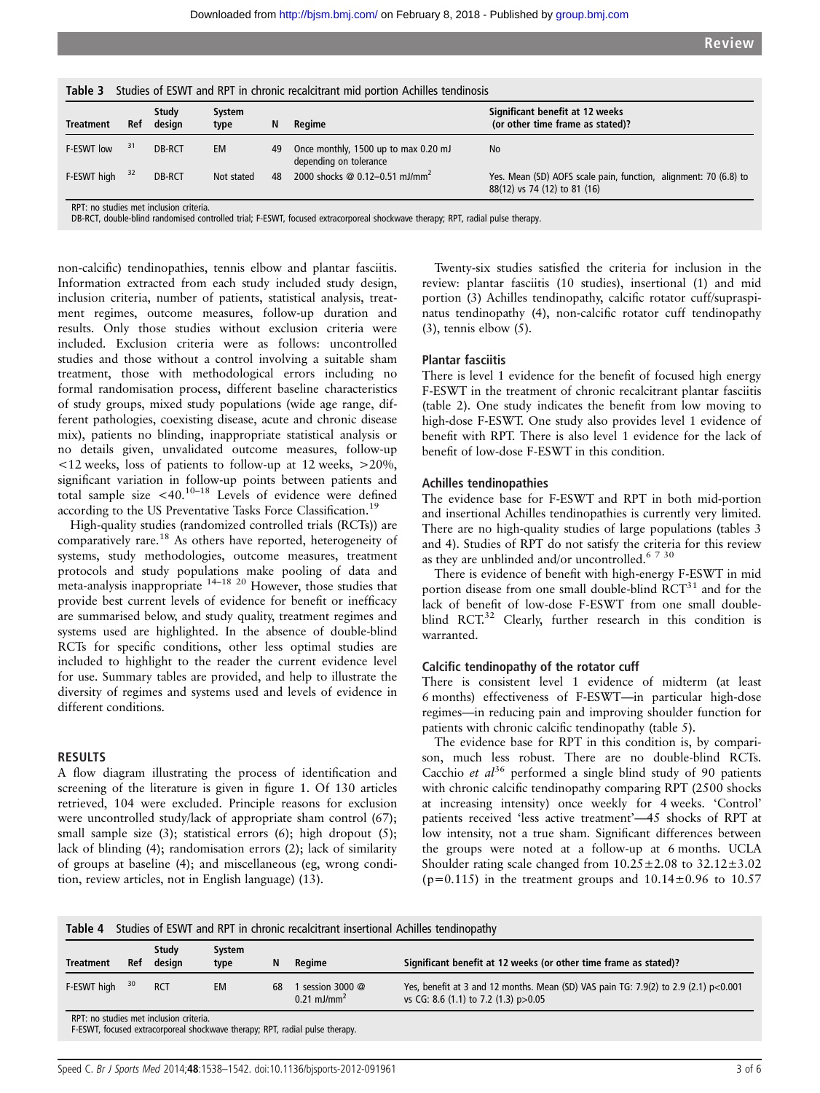| <b>Table 3</b> Studies of ESWT and RPT in chronic recalcitrant mid portion Achilles tendinosis |     |                 |                |    |                                                                |                                                                                                  |  |
|------------------------------------------------------------------------------------------------|-----|-----------------|----------------|----|----------------------------------------------------------------|--------------------------------------------------------------------------------------------------|--|
| Treatment                                                                                      | Ref | Study<br>design | System<br>type | N  | Regime                                                         | Significant benefit at 12 weeks<br>(or other time frame as stated)?                              |  |
| F-ESWT low                                                                                     | 31  | DB-RCT          | EM             | 49 | Once monthly, 1500 up to max 0.20 mJ<br>depending on tolerance | <b>No</b>                                                                                        |  |
| F-ESWT high                                                                                    | 32  | DB-RCT          | Not stated     | 48 | 2000 shocks @ 0.12-0.51 mJ/mm <sup>2</sup>                     | Yes. Mean (SD) AOFS scale pain, function, alignment: 70 (6.8) to<br>88(12) vs 74 (12) to 81 (16) |  |
| RPT: no studies met inclusion criteria.                                                        |     |                 |                |    |                                                                |                                                                                                  |  |

RPT: no studies met inclusion criteria. DB-RCT, double-blind randomised controlled trial; F-ESWT, focused extracorporeal shockwave therapy; RPT, radial pulse therapy.

non-calcific) tendinopathies, tennis elbow and plantar fasciitis. Information extracted from each study included study design, inclusion criteria, number of patients, statistical analysis, treatment regimes, outcome measures, follow-up duration and results. Only those studies without exclusion criteria were included. Exclusion criteria were as follows: uncontrolled studies and those without a control involving a suitable sham treatment, those with methodological errors including no formal randomisation process, different baseline characteristics of study groups, mixed study populations (wide age range, different pathologies, coexisting disease, acute and chronic disease mix), patients no blinding, inappropriate statistical analysis or no details given, unvalidated outcome measures, follow-up <12 weeks, loss of patients to follow-up at 12 weeks, >20%, significant variation in follow-up points between patients and total sample size  $\lt 40$ .<sup>10-18</sup> Levels of evidence were defined according to the US Preventative Tasks Force Classification.<sup>19</sup>

High-quality studies (randomized controlled trials (RCTs)) are comparatively rare.<sup>18</sup> As others have reported, heterogeneity of systems, study methodologies, outcome measures, treatment protocols and study populations make pooling of data and meta-analysis inappropriate <sup>14–18</sup><sup>20</sup> However, those studies that provide best current levels of evidence for benefit or inefficacy are summarised below, and study quality, treatment regimes and systems used are highlighted. In the absence of double-blind RCTs for specific conditions, other less optimal studies are included to highlight to the reader the current evidence level for use. Summary tables are provided, and help to illustrate the diversity of regimes and systems used and levels of evidence in different conditions.

#### RESULTS

A flow diagram illustrating the process of identification and screening of the literature is given in figure 1. Of 130 articles retrieved, 104 were excluded. Principle reasons for exclusion were uncontrolled study/lack of appropriate sham control (67); small sample size (3); statistical errors (6); high dropout (5); lack of blinding (4); randomisation errors (2); lack of similarity of groups at baseline (4); and miscellaneous (eg, wrong condition, review articles, not in English language) (13).

Twenty-six studies satisfied the criteria for inclusion in the review: plantar fasciitis (10 studies), insertional (1) and mid portion (3) Achilles tendinopathy, calcific rotator cuff/supraspinatus tendinopathy (4), non-calcific rotator cuff tendinopathy (3), tennis elbow (5).

#### Plantar fasciitis

There is level 1 evidence for the benefit of focused high energy F-ESWT in the treatment of chronic recalcitrant plantar fasciitis (table 2). One study indicates the benefit from low moving to high-dose F-ESWT. One study also provides level 1 evidence of benefit with RPT. There is also level 1 evidence for the lack of benefit of low-dose F-ESWT in this condition.

#### Achilles tendinopathies

The evidence base for F-ESWT and RPT in both mid-portion and insertional Achilles tendinopathies is currently very limited. There are no high-quality studies of large populations (tables 3 and 4). Studies of RPT do not satisfy the criteria for this review as they are unblinded and/or uncontrolled.<sup>6 7 30</sup>

There is evidence of benefit with high-energy F-ESWT in mid portion disease from one small double-blind  $RCT^{31}$  and for the lack of benefit of low-dose F-ESWT from one small doubleblind RCT.<sup>32</sup> Clearly, further research in this condition is warranted.

#### Calcific tendinopathy of the rotator cuff

There is consistent level 1 evidence of midterm (at least 6 months) effectiveness of F-ESWT—in particular high-dose regimes—in reducing pain and improving shoulder function for patients with chronic calcific tendinopathy (table 5).

The evidence base for RPT in this condition is, by comparison, much less robust. There are no double-blind RCTs. Cacchio et  $al^{36}$  performed a single blind study of 90 patients with chronic calcific tendinopathy comparing RPT (2500 shocks at increasing intensity) once weekly for 4 weeks. 'Control' patients received 'less active treatment'—45 shocks of RPT at low intensity, not a true sham. Significant differences between the groups were noted at a follow-up at 6 months. UCLA Shoulder rating scale changed from  $10.25 \pm 2.08$  to  $32.12 \pm 3.02$ ( $p=0.115$ ) in the treatment groups and  $10.14\pm0.96$  to  $10.57$ 

Table 4 Studies of ESWT and RPT in chronic recalcitrant insertional Achilles tendinopathy

| <b>Treatment</b>                                                                                                        | Ref | Study<br>desian | System<br>type | N  | Regime                                        | Significant benefit at 12 weeks (or other time frame as stated)?                                                              |
|-------------------------------------------------------------------------------------------------------------------------|-----|-----------------|----------------|----|-----------------------------------------------|-------------------------------------------------------------------------------------------------------------------------------|
| F-ESWT high                                                                                                             | 30  | <b>RCT</b>      | EM             | 68 | session 3000 $@$<br>$0.21$ mJ/mm <sup>2</sup> | Yes, benefit at 3 and 12 months. Mean (SD) VAS pain TG: 7.9(2) to 2.9 (2.1) $p<0.001$<br>vs CG: 8.6 (1.1) to 7.2 (1.3) p>0.05 |
| RPT: no studies met inclusion criteria.<br>F-ESWT, focused extracorporeal shockwave therapy; RPT, radial pulse therapy. |     |                 |                |    |                                               |                                                                                                                               |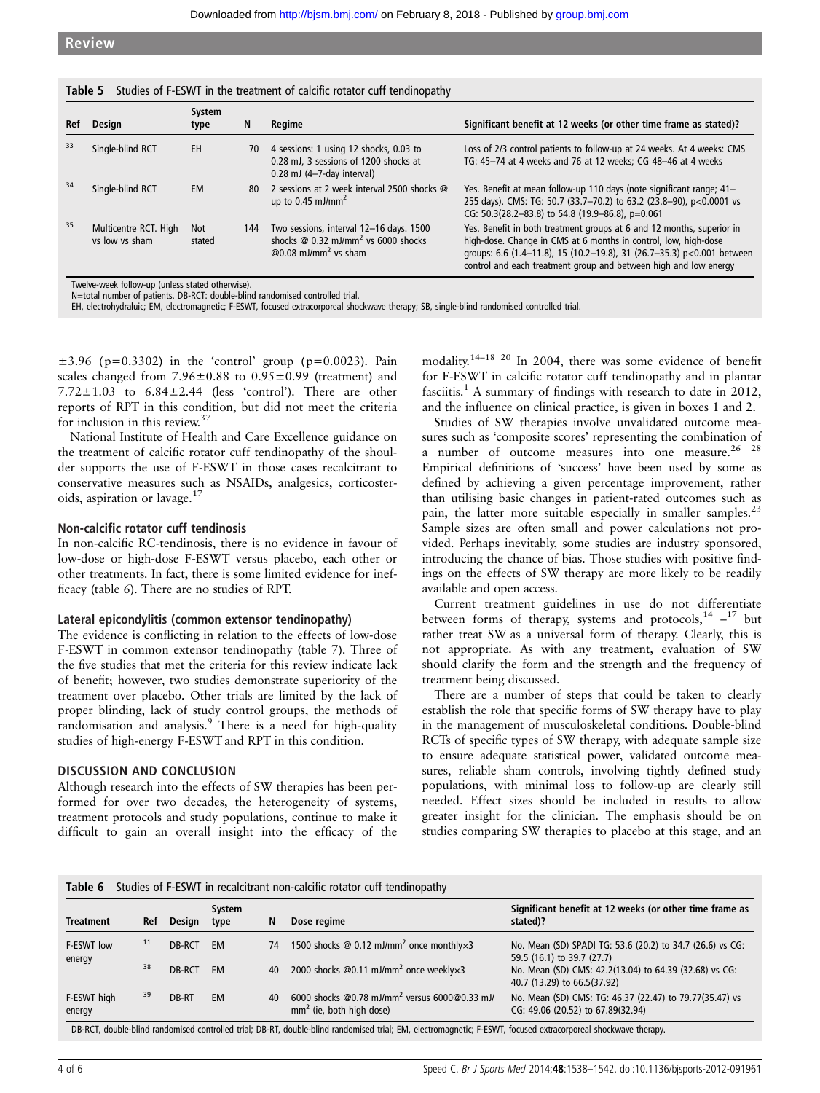|     | <b>Table 5</b> Studies of F-ESWT in the treatment of calcific rotator cuff tendinopathy |                      |     |                                                                                                                                    |                                                                                                                                                                                                                                                                                        |  |  |  |  |
|-----|-----------------------------------------------------------------------------------------|----------------------|-----|------------------------------------------------------------------------------------------------------------------------------------|----------------------------------------------------------------------------------------------------------------------------------------------------------------------------------------------------------------------------------------------------------------------------------------|--|--|--|--|
| Ref | Design                                                                                  | System<br>type       | N   | Regime                                                                                                                             | Significant benefit at 12 weeks (or other time frame as stated)?                                                                                                                                                                                                                       |  |  |  |  |
| 33  | Single-blind RCT                                                                        | EH                   | 70  | 4 sessions: 1 using 12 shocks, 0.03 to<br>0.28 mJ. 3 sessions of 1200 shocks at<br>$0.28$ mJ (4-7-day interval)                    | Loss of 2/3 control patients to follow-up at 24 weeks. At 4 weeks: CMS<br>TG: 45-74 at 4 weeks and 76 at 12 weeks; CG 48-46 at 4 weeks                                                                                                                                                 |  |  |  |  |
| 34  | Single-blind RCT                                                                        | <b>EM</b>            | 80  | 2 sessions at 2 week interval 2500 shocks @<br>up to $0.45$ mJ/mm <sup>2</sup>                                                     | Yes. Benefit at mean follow-up 110 days (note significant range; 41-<br>255 days). CMS: TG: 50.7 (33.7-70.2) to 63.2 (23.8-90), p<0.0001 vs<br>CG: 50.3(28.2-83.8) to 54.8 (19.9-86.8), p=0.061                                                                                        |  |  |  |  |
| 35  | Multicentre RCT. High<br>vs low vs sham                                                 | <b>Not</b><br>stated | 144 | Two sessions, interval 12-16 days. 1500<br>shocks $@$ 0.32 mJ/mm <sup>2</sup> vs 6000 shocks<br>$@0.08$ mJ/mm <sup>2</sup> vs sham | Yes. Benefit in both treatment groups at 6 and 12 months, superior in<br>high-dose. Change in CMS at 6 months in control, low, high-dose<br>qroups: 6.6 (1.4-11.8), 15 (10.2-19.8), 31 (26.7-35.3) p<0.001 between<br>control and each treatment group and between high and low energy |  |  |  |  |

Twelve-week follow-up (unless stated otherwise).

N=total number of patients. DB-RCT: double-blind randomised controlled trial.

EH, electrohydraluic; EM, electromagnetic; F-ESWT, focused extracorporeal shockwave therapy; SB, single-blind randomised controlled trial.

 $\pm 3.96$  (p=0.3302) in the 'control' group (p=0.0023). Pain scales changed from  $7.96 \pm 0.88$  to  $0.95 \pm 0.99$  (treatment) and  $7.72 \pm 1.03$  to  $6.84 \pm 2.44$  (less 'control'). There are other reports of RPT in this condition, but did not meet the criteria for inclusion in this review.<sup>37</sup>

National Institute of Health and Care Excellence guidance on the treatment of calcific rotator cuff tendinopathy of the shoulder supports the use of F-ESWT in those cases recalcitrant to conservative measures such as NSAIDs, analgesics, corticosteroids, aspiration or lavage.<sup>17</sup>

#### Non-calcific rotator cuff tendinosis

In non-calcific RC-tendinosis, there is no evidence in favour of low-dose or high-dose F-ESWT versus placebo, each other or other treatments. In fact, there is some limited evidence for inefficacy (table 6). There are no studies of RPT.

#### Lateral epicondylitis (common extensor tendinopathy)

The evidence is conflicting in relation to the effects of low-dose F-ESWT in common extensor tendinopathy (table 7). Three of the five studies that met the criteria for this review indicate lack of benefit; however, two studies demonstrate superiority of the treatment over placebo. Other trials are limited by the lack of proper blinding, lack of study control groups, the methods of randomisation and analysis.<sup>9</sup> There is a need for high-quality studies of high-energy F-ESWT and RPT in this condition.

#### DISCUSSION AND CONCLUSION

Although research into the effects of SW therapies has been performed for over two decades, the heterogeneity of systems, treatment protocols and study populations, continue to make it difficult to gain an overall insight into the efficacy of the

modality.<sup>14–18 20</sup> In 2004, there was some evidence of benefit for F-ESWT in calcific rotator cuff tendinopathy and in plantar fasciitis.<sup>1</sup> A summary of findings with research to date in 2012, and the influence on clinical practice, is given in boxes 1 and 2.

Studies of SW therapies involve unvalidated outcome measures such as 'composite scores' representing the combination of a number of outcome measures into one measure.  $26 \times 28$ Empirical definitions of 'success' have been used by some as defined by achieving a given percentage improvement, rather than utilising basic changes in patient-rated outcomes such as pain, the latter more suitable especially in smaller samples.<sup>23</sup> Sample sizes are often small and power calculations not provided. Perhaps inevitably, some studies are industry sponsored, introducing the chance of bias. Those studies with positive findings on the effects of SW therapy are more likely to be readily available and open access.

Current treatment guidelines in use do not differentiate between forms of therapy, systems and protocols, $14 - 17$  but rather treat SW as a universal form of therapy. Clearly, this is not appropriate. As with any treatment, evaluation of SW should clarify the form and the strength and the frequency of treatment being discussed.

There are a number of steps that could be taken to clearly establish the role that specific forms of SW therapy have to play in the management of musculoskeletal conditions. Double-blind RCTs of specific types of SW therapy, with adequate sample size to ensure adequate statistical power, validated outcome measures, reliable sham controls, involving tightly defined study populations, with minimal loss to follow-up are clearly still needed. Effect sizes should be included in results to allow greater insight for the clinician. The emphasis should be on studies comparing SW therapies to placebo at this stage, and an

| <b>Treatment</b>                                                                                                                                               | Ref | <b>Design</b> | System<br>type | N  | Dose regime                                                                             | Significant benefit at 12 weeks (or other time frame as<br>stated)?                          |
|----------------------------------------------------------------------------------------------------------------------------------------------------------------|-----|---------------|----------------|----|-----------------------------------------------------------------------------------------|----------------------------------------------------------------------------------------------|
| F-ESWT low<br>energy                                                                                                                                           | 11  | DB-RCT        | EM             | 74 | 1500 shocks $\omega$ 0.12 mJ/mm <sup>2</sup> once monthly $\times$ 3                    | No. Mean (SD) SPADI TG: 53.6 (20.2) to 34.7 (26.6) vs CG:<br>59.5 (16.1) to 39.7 (27.7)      |
|                                                                                                                                                                | 38  | DB-RCT        | EM             | 40 | 2000 shocks @0.11 mJ/mm <sup>2</sup> once weekly $\times$ 3                             | No. Mean (SD) CMS: 42.2(13.04) to 64.39 (32.68) vs CG:<br>40.7 (13.29) to 66.5(37.92)        |
| F-ESWT high<br>energy                                                                                                                                          | 39  | DB-RT         | <b>EM</b>      | 40 | 6000 shocks @0.78 mJ/mm <sup>2</sup> versus 6000@0.33 mJ/<br>$mm2$ (ie, both high dose) | No. Mean (SD) CMS: TG: 46.37 (22.47) to 79.77(35.47) vs<br>CG: 49.06 (20.52) to 67.89(32.94) |
| DB-RCT, double-blind randomised controlled trial; DB-RT, double-blind randomised trial; EM, electromagnetic; F-ESWT, focused extracorporeal shockwave therapy. |     |               |                |    |                                                                                         |                                                                                              |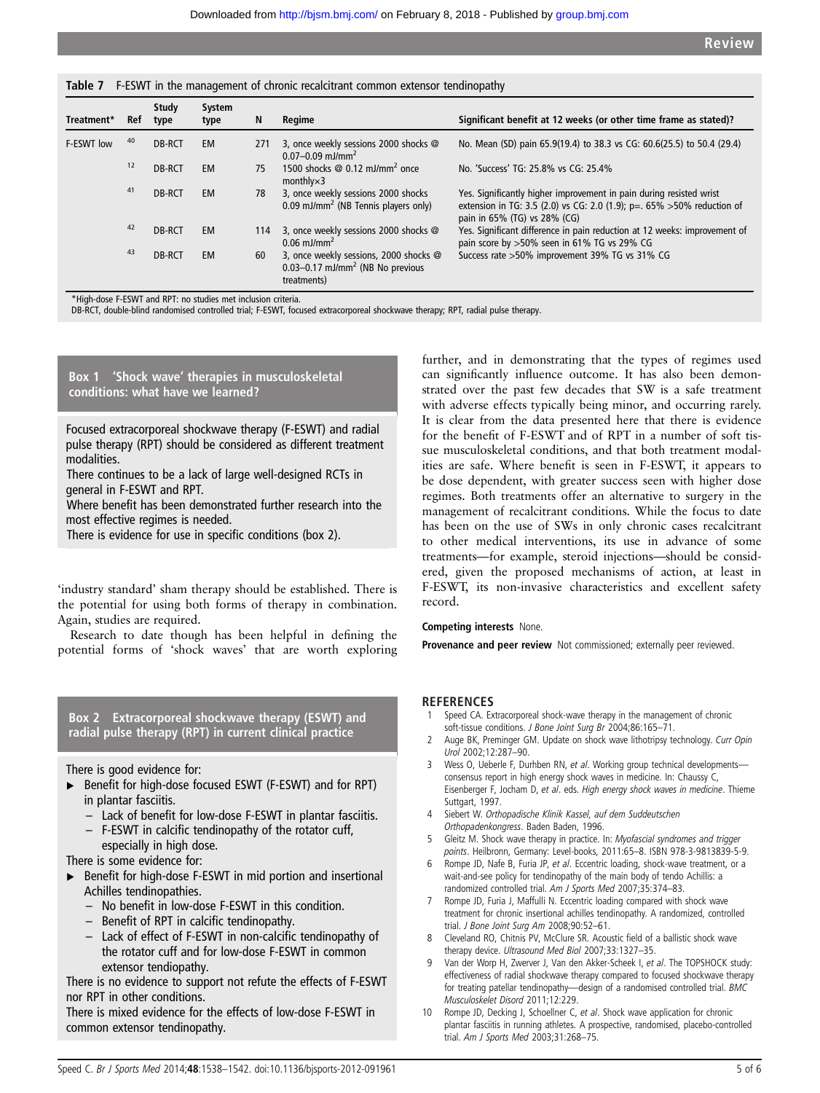#### Table 7 F-ESWT in the management of chronic recalcitrant common extensor tendinopathy

| Treatment* | Ref | Study<br>type | System<br>type | N   | Regime                                                                                                    | Significant benefit at 12 weeks (or other time frame as stated)?                                                                                                               |
|------------|-----|---------------|----------------|-----|-----------------------------------------------------------------------------------------------------------|--------------------------------------------------------------------------------------------------------------------------------------------------------------------------------|
| F-ESWT low | 40  | DB-RCT        | <b>EM</b>      | 271 | 3, once weekly sessions 2000 shocks @<br>0.07-0.09 mJ/mm <sup>2</sup>                                     | No. Mean (SD) pain 65.9(19.4) to 38.3 vs CG: 60.6(25.5) to 50.4 (29.4)                                                                                                         |
|            | 12  | DB-RCT        | <b>EM</b>      | 75  | 1500 shocks $@$ 0.12 mJ/mm <sup>2</sup> once<br>$monthly \times 3$                                        | No. 'Success' TG: 25.8% vs CG: 25.4%                                                                                                                                           |
|            | 41  | DB-RCT        | <b>EM</b>      | 78  | 3, once weekly sessions 2000 shocks<br>0.09 mJ/mm <sup>2</sup> (NB Tennis players only)                   | Yes. Significantly higher improvement in pain during resisted wrist<br>extension in TG: 3.5 (2.0) vs CG: 2.0 (1.9); p=. 65% > 50% reduction of<br>pain in 65% (TG) vs 28% (CG) |
|            | 42  | DB-RCT        | <b>EM</b>      | 114 | 3, once weekly sessions 2000 shocks @<br>$0.06$ mJ/mm <sup>2</sup>                                        | Yes. Significant difference in pain reduction at 12 weeks: improvement of<br>pain score by >50% seen in 61% TG vs 29% CG                                                       |
|            | 43  | DB-RCT        | <b>EM</b>      | 60  | 3, once weekly sessions, 2000 shocks @<br>$0.03 - 0.17$ mJ/mm <sup>2</sup> (NB No previous<br>treatments) | Success rate >50% improvement 39% TG vs 31% CG                                                                                                                                 |

\*High-dose F-ESWT and RPT: no studies met inclusion criteria.

DB-RCT, double-blind randomised controlled trial; F-ESWT, focused extracorporeal shockwave therapy; RPT, radial pulse therapy.

Box 1 'Shock wave' therapies in musculoskeletal conditions: what have we learned?

Focused extracorporeal shockwave therapy (F-ESWT) and radial pulse therapy (RPT) should be considered as different treatment modalities.

There continues to be a lack of large well-designed RCTs in general in F-ESWT and RPT.

Where benefit has been demonstrated further research into the most effective regimes is needed.

There is evidence for use in specific conditions (box 2).

'industry standard' sham therapy should be established. There is the potential for using both forms of therapy in combination. Again, studies are required.

Research to date though has been helpful in defining the potential forms of 'shock waves' that are worth exploring

#### Box 2 Extracorporeal shockwave therapy (ESWT) and radial pulse therapy (RPT) in current clinical practice

There is good evidence for:

- ▸ Benefit for high-dose focused ESWT (F-ESWT) and for RPT) in plantar fasciitis.
	- Lack of benefit for low-dose F-ESWT in plantar fasciitis.
	- F-ESWT in calcific tendinopathy of the rotator cuff,
- especially in high dose.

There is some evidence for:

- ▶ Benefit for high-dose F-ESWT in mid portion and insertional Achilles tendinopathies.
	- No benefit in low-dose F-ESWT in this condition.
	- Benefit of RPT in calcific tendinopathy.
	- Lack of effect of F-ESWT in non-calcific tendinopathy of the rotator cuff and for low-dose F-ESWT in common extensor tendiopathy.

There is no evidence to support not refute the effects of F-ESWT nor RPT in other conditions.

There is mixed evidence for the effects of low-dose F-ESWT in common extensor tendinopathy.

further, and in demonstrating that the types of regimes used can significantly influence outcome. It has also been demonstrated over the past few decades that SW is a safe treatment with adverse effects typically being minor, and occurring rarely. It is clear from the data presented here that there is evidence for the benefit of F-ESWT and of RPT in a number of soft tissue musculoskeletal conditions, and that both treatment modalities are safe. Where benefit is seen in F-ESWT, it appears to be dose dependent, with greater success seen with higher dose regimes. Both treatments offer an alternative to surgery in the management of recalcitrant conditions. While the focus to date has been on the use of SWs in only chronic cases recalcitrant to other medical interventions, its use in advance of some treatments—for example, steroid injections—should be considered, given the proposed mechanisms of action, at least in F-ESWT, its non-invasive characteristics and excellent safety record.

#### Competing interests None.

Provenance and peer review Not commissioned; externally peer reviewed.

#### **REFERENCES**

- 1 Speed CA. Extracorporeal shock-wave therapy in the management of chronic soft-tissue conditions. J Bone Joint Surg Br 2004;86:165-71.
- Auge BK, Preminger GM. Update on shock wave lithotripsy technology. Curr Opin Urol 2002;12:287–90.
- 3 Wess O, Ueberle F, Durhben RN, et al. Working group technical developmentsconsensus report in high energy shock waves in medicine. In: Chaussy C, Eisenberger F, Jocham D, et al. eds. High energy shock waves in medicine. Thieme Suttgart, 1997.
- 4 Siebert W. Orthopadische Klinik Kassel, auf dem Suddeutschen Orthopadenkongress. Baden Baden, 1996.
- Gleitz M. Shock wave therapy in practice. In: Myofascial syndromes and trigger points. Heilbronn, Germany: Level-books, 2011:65–8. ISBN 978-3-9813839-5-9.
- 6 Rompe JD, Nafe B, Furia JP, et al. Eccentric loading, shock-wave treatment, or a wait-and-see policy for tendinopathy of the main body of tendo Achillis: a randomized controlled trial. Am J Sports Med 2007;35:374–83.
- 7 Rompe JD, Furia J, Maffulli N. Eccentric loading compared with shock wave treatment for chronic insertional achilles tendinopathy. A randomized, controlled trial. J Bone Joint Surg Am 2008;90:52–61.
- 8 Cleveland RO, Chitnis PV, McClure SR. Acoustic field of a ballistic shock wave therapy device. Ultrasound Med Biol 2007;33:1327–35.
- 9 Van der Worp H, Zwerver J, Van den Akker-Scheek I, et al. The TOPSHOCK study: effectiveness of radial shockwave therapy compared to focused shockwave therapy for treating patellar tendinopathy—design of a randomised controlled trial. BMC Musculoskelet Disord 2011;12:229.
- Rompe JD, Decking J, Schoellner C, et al. Shock wave application for chronic plantar fasciitis in running athletes. A prospective, randomised, placebo-controlled trial. Am J Sports Med 2003;31:268–75.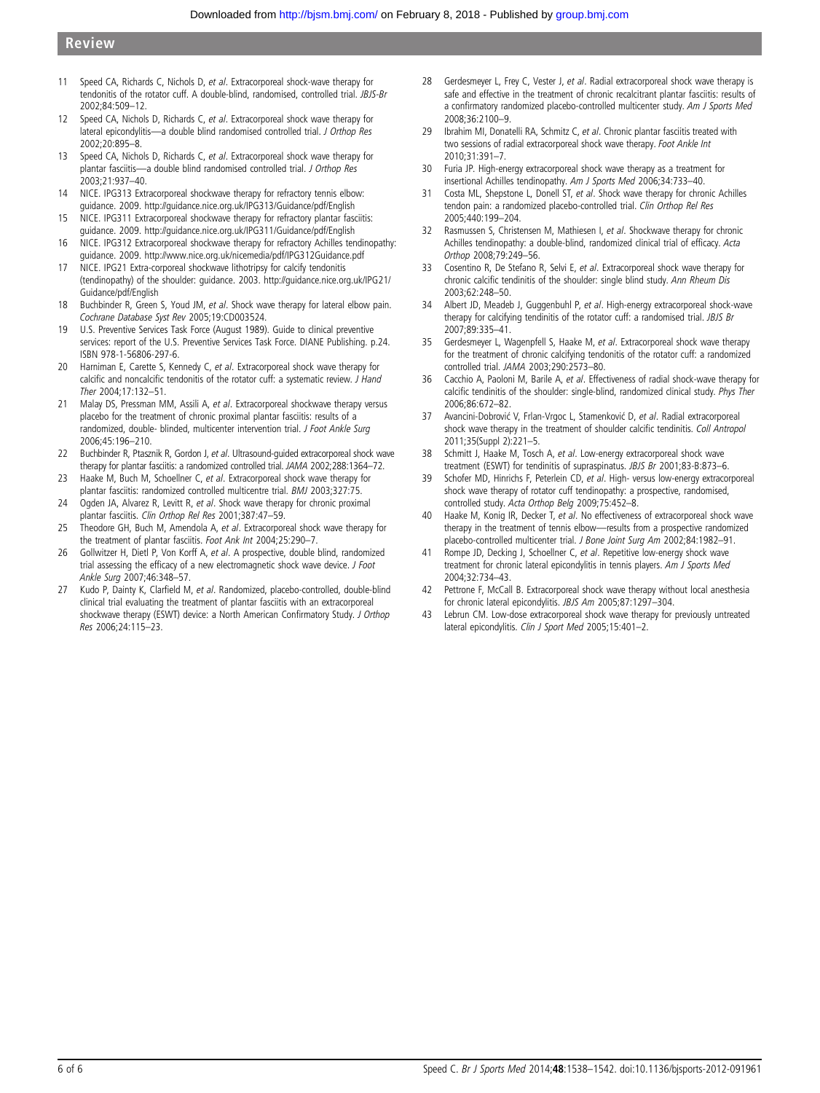- 11 Speed CA, Richards C, Nichols D, et al. Extracorporeal shock-wave therapy for tendonitis of the rotator cuff. A double-blind, randomised, controlled trial. JBJS-Br 2002;84:509–12.
- 12 Speed CA, Nichols D, Richards C, et al. Extracorporeal shock wave therapy for lateral epicondylitis—a double blind randomised controlled trial. J Orthop Res 2002;20:895–8.
- 13 Speed CA, Nichols D, Richards C, et al. Extracorporeal shock wave therapy for plantar fasciitis—a double blind randomised controlled trial. J Orthop Res 2003;21:937–40.
- 14 NICE. IPG313 Extracorporeal shockwave therapy for refractory tennis elbow: guidance. 2009.<http://guidance.nice.org.uk/IPG313/Guidance/pdf/English>
- 15 NICE. IPG311 Extracorporeal shockwave therapy for refractory plantar fasciitis: guidance. 2009.<http://guidance.nice.org.uk/IPG311/Guidance/pdf/English>
- 16 NICE. IPG312 Extracorporeal shockwave therapy for refractory Achilles tendinopathy: guidance. 2009.<http://www.nice.org.uk/nicemedia/pdf/IPG312Guidance.pdf>
- 17 NICE. IPG21 Extra-corporeal shockwave lithotripsy for calcify tendonitis (tendinopathy) of the shoulder: guidance. 2003. [http://guidance.nice.org.uk/IPG21/](http://guidance.nice.org.uk/IPG21/Guidance/pdf/English) [Guidance/pdf/English](http://guidance.nice.org.uk/IPG21/Guidance/pdf/English)
- 18 Buchbinder R, Green S, Youd JM, et al. Shock wave therapy for lateral elbow pain. Cochrane Database Syst Rev 2005;19:CD003524.
- 19 U.S. Preventive Services Task Force (August 1989). Guide to clinical preventive services: report of the U.S. Preventive Services Task Force. DIANE Publishing. p.24. ISBN 978-1-56806-297-6.
- 20 Harniman E, Carette S, Kennedy C, et al. Extracorporeal shock wave therapy for calcific and noncalcific tendonitis of the rotator cuff: a systematic review. J Hand Ther 2004;17:132–51.
- 21 Malay DS, Pressman MM, Assili A, et al. Extracorporeal shockwave therapy versus placebo for the treatment of chronic proximal plantar fasciitis: results of a randomized, double- blinded, multicenter intervention trial. J Foot Ankle Surg 2006;45:196–210.
- 22 Buchbinder R, Ptasznik R, Gordon J, et al. Ultrasound-guided extracorporeal shock wave therapy for plantar fasciitis: a randomized controlled trial. JAMA 2002;288:1364–72.
- 23 Haake M, Buch M, Schoellner C, et al. Extracorporeal shock wave therapy for plantar fasciitis: randomized controlled multicentre trial. BMJ 2003;327:75.
- 24 Ogden JA, Alvarez R, Levitt R, et al. Shock wave therapy for chronic proximal plantar fasciitis. Clin Orthop Rel Res 2001;387:47–59.
- 25 Theodore GH, Buch M, Amendola A, et al. Extracorporeal shock wave therapy for the treatment of plantar fasciitis. Foot Ank Int 2004;25:290–7.
- 26 Gollwitzer H, Dietl P, Von Korff A, et al. A prospective, double blind, randomized trial assessing the efficacy of a new electromagnetic shock wave device. J Foot Ankle Surg 2007;46:348–57.
- 27 Kudo P, Dainty K, Clarfield M, et al. Randomized, placebo-controlled, double-blind clinical trial evaluating the treatment of plantar fasciitis with an extracorporeal shockwave therapy (ESWT) device: a North American Confirmatory Study. J Orthop Res 2006;24:115–23.
- 28 Gerdesmeyer L, Frey C, Vester J, et al. Radial extracorporeal shock wave therapy is safe and effective in the treatment of chronic recalcitrant plantar fasciitis: results of a confirmatory randomized placebo-controlled multicenter study. Am J Sports Med 2008;36:2100–9.
- 29 Ibrahim MI, Donatelli RA, Schmitz C, et al. Chronic plantar fasciitis treated with two sessions of radial extracorporeal shock wave therapy. Foot Ankle Int 2010;31:391–7.
- 30 Furia JP. High-energy extracorporeal shock wave therapy as a treatment for insertional Achilles tendinopathy. Am J Sports Med 2006;34:733–40.
- 31 Costa ML, Shepstone L, Donell ST, et al. Shock wave therapy for chronic Achilles tendon pain: a randomized placebo-controlled trial. Clin Orthop Rel Res 2005;440:199–204.
- 32 Rasmussen S, Christensen M, Mathiesen I, et al. Shockwave therapy for chronic Achilles tendinopathy: a double-blind, randomized clinical trial of efficacy. Acta Orthop 2008;79:249–56.
- 33 Cosentino R, De Stefano R, Selvi E, et al. Extracorporeal shock wave therapy for chronic calcific tendinitis of the shoulder: single blind study. Ann Rheum Dis 2003;62:248–50.
- 34 Albert JD, Meadeb J, Guggenbuhl P, et al. High-energy extracorporeal shock-wave therapy for calcifying tendinitis of the rotator cuff: a randomised trial. JBJS Br 2007;89:335–41.
- 35 Gerdesmeyer L, Wagenpfell S, Haake M, et al. Extracorporeal shock wave therapy for the treatment of chronic calcifying tendonitis of the rotator cuff: a randomized controlled trial. JAMA 2003;290:2573–80.
- 36 Cacchio A, Paoloni M, Barile A, et al. Effectiveness of radial shock-wave therapy for calcific tendinitis of the shoulder: single-blind, randomized clinical study. Phys Ther 2006;86:672–82.
- 37 Avancini-Dobrović V, Frlan-Vrgoc L, Stamenković D, et al. Radial extracorporeal shock wave therapy in the treatment of shoulder calcific tendinitis. Coll Antropol 2011;35(Suppl 2):221–5.
- 38 Schmitt J, Haake M, Tosch A, et al. Low-energy extracorporeal shock wave treatment (ESWT) for tendinitis of supraspinatus. JBJS Br 2001;83-B:873–6.
- 39 Schofer MD, Hinrichs F, Peterlein CD, et al. High- versus low-energy extracorporeal shock wave therapy of rotator cuff tendinopathy: a prospective, randomised, controlled study. Acta Orthop Belg 2009;75:452–8.
- 40 Haake M, Konig IR, Decker T, et al. No effectiveness of extracorporeal shock wave therapy in the treatment of tennis elbow—results from a prospective randomized placebo-controlled multicenter trial. J Bone Joint Surg Am 2002;84:1982–91.
- 41 Rompe JD, Decking J, Schoellner C, et al. Repetitive low-energy shock wave treatment for chronic lateral epicondylitis in tennis players. Am J Sports Med 2004;32:734–43.
- 42 Pettrone F, McCall B. Extracorporeal shock wave therapy without local anesthesia for chronic lateral epicondylitis. JBJS Am 2005;87:1297–304.
- 43 Lebrun CM. Low-dose extracorporeal shock wave therapy for previously untreated lateral epicondylitis. Clin J Sport Med 2005;15:401-2.